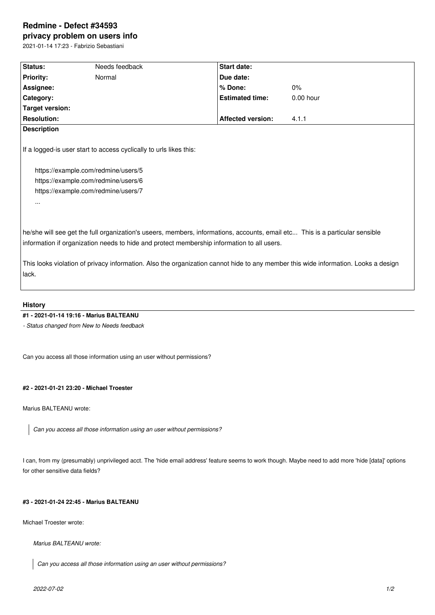# **Redmine - Defect #34593**

**privacy problem on users info** 2021-01-14 17:23 - Fabrizio Sebastiani

| Status:                                                                                                                                                                                     | Needs feedback | Start date:                                                                                                                                                                                                                |                                                                                                                                    |
|---------------------------------------------------------------------------------------------------------------------------------------------------------------------------------------------|----------------|----------------------------------------------------------------------------------------------------------------------------------------------------------------------------------------------------------------------------|------------------------------------------------------------------------------------------------------------------------------------|
| <b>Priority:</b>                                                                                                                                                                            | Normal         | Due date:                                                                                                                                                                                                                  |                                                                                                                                    |
| Assignee:                                                                                                                                                                                   |                | % Done:                                                                                                                                                                                                                    | 0%                                                                                                                                 |
| Category:                                                                                                                                                                                   |                | <b>Estimated time:</b>                                                                                                                                                                                                     | $0.00$ hour                                                                                                                        |
| <b>Target version:</b>                                                                                                                                                                      |                |                                                                                                                                                                                                                            |                                                                                                                                    |
| <b>Resolution:</b>                                                                                                                                                                          |                | <b>Affected version:</b>                                                                                                                                                                                                   | 4.1.1                                                                                                                              |
| <b>Description</b>                                                                                                                                                                          |                |                                                                                                                                                                                                                            |                                                                                                                                    |
| If a logged-is user start to access cyclically to urls likes this:<br>https://example.com/redmine/users/5<br>https://example.com/redmine/users/6<br>https://example.com/redmine/users/7<br> |                |                                                                                                                                                                                                                            |                                                                                                                                    |
|                                                                                                                                                                                             |                | he/she will see get the full organization's useers, members, informations, accounts, email etc This is a particular sensible<br>information if organization needs to hide and protect membership information to all users. |                                                                                                                                    |
| lack.                                                                                                                                                                                       |                |                                                                                                                                                                                                                            | This looks violation of privacy information. Also the organization cannot hide to any member this wide information. Looks a design |

#### **History**

## **#1 - 2021-01-14 19:16 - Marius BALTEANU**

*- Status changed from New to Needs feedback*

Can you access all those information using an user without permissions?

#### **#2 - 2021-01-21 23:20 - Michael Troester**

Marius BALTEANU wrote:

*Can you access all those information using an user without permissions?*

I can, from my (presumably) unprivileged acct. The 'hide email address' feature seems to work though. Maybe need to add more 'hide [data]' options for other sensitive data fields?

## **#3 - 2021-01-24 22:45 - Marius BALTEANU**

Michael Troester wrote:

*Marius BALTEANU wrote:*

*Can you access all those information using an user without permissions?*